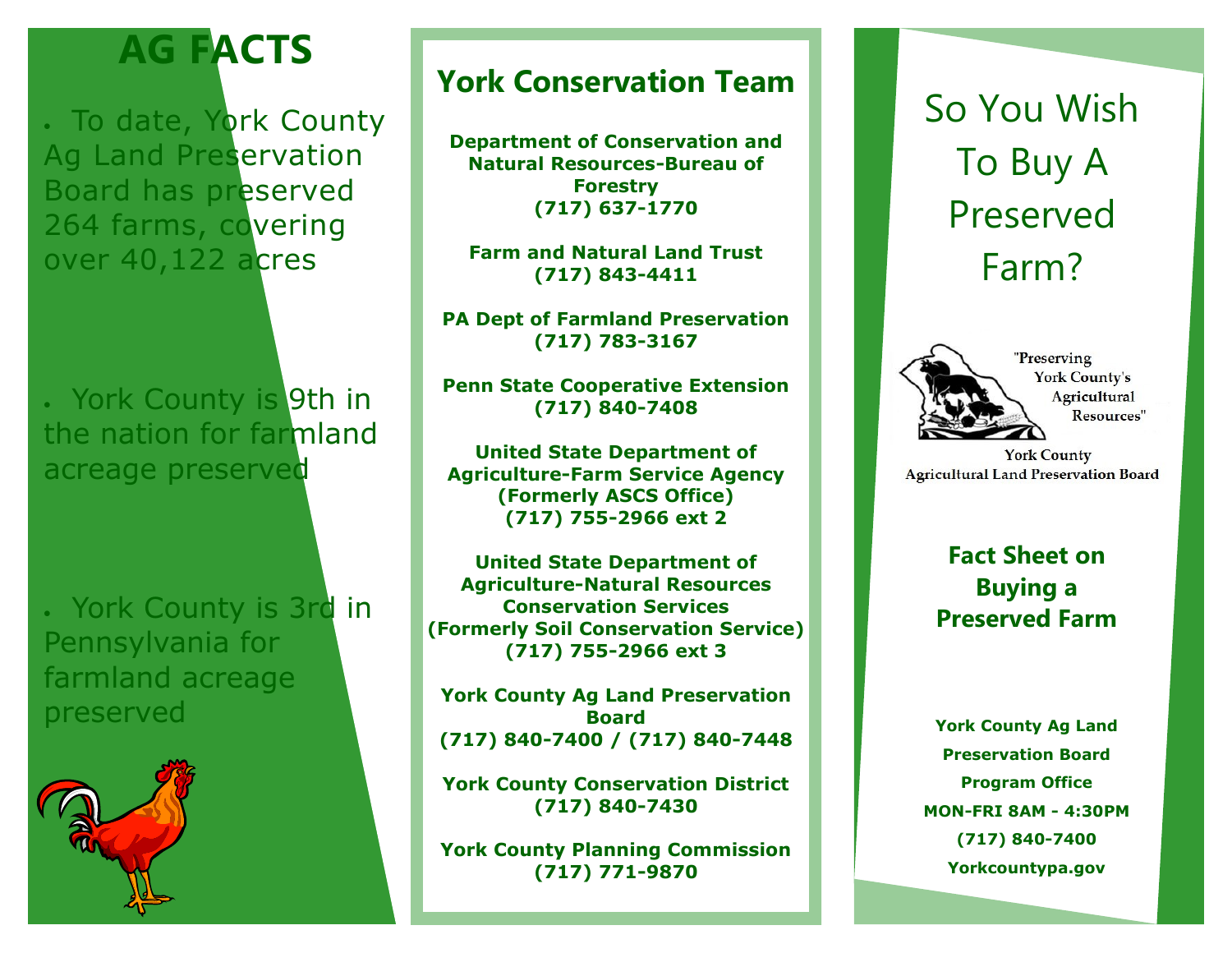## **AG FACTS**

. To date, York County Ag Land Preservation Board has preserved 264 farms, covering over 40,122 acres

. York County is 9th in the nation for farmland acreage preserved

. York County is 3rd in Pennsylvania for farmland acreage preserved



## **York Conservation Team**

**Department of Conservation and Natural Resources-Bureau of Forestry (717) 637-1770**

**Farm and Natural Land Trust (717) 843-4411**

**PA Dept of Farmland Preservation (717) 783-3167**

**Penn State Cooperative Extension (717) 840-7408**

**United State Department of Agriculture-Farm Service Agency (Formerly ASCS Office) (717) 755-2966 ext 2**

**United State Department of Agriculture-Natural Resources Conservation Services (Formerly Soil Conservation Service) (717) 755-2966 ext 3**

**York County Ag Land Preservation Board (717) 840-7400 / (717) 840-7448**

**York County Conservation District (717) 840-7430**

**York County Planning Commission (717) 771-9870**

# So You Wish To Buy A Preserved Farm?



"Preserving" **York County's** Agricultural Resources"

**York County Agricultural Land Preservation Board** 

> **Fact Sheet on Buying a Preserved Farm**

**York County Ag Land Preservation Board Program Office MON-FRI 8AM - 4:30PM (717) 840-7400 Yorkcountypa.gov**